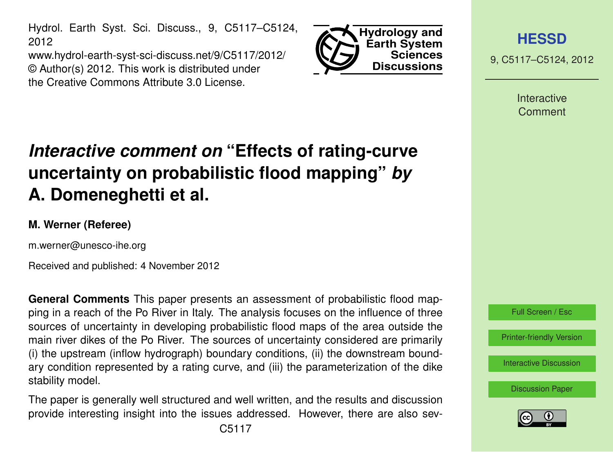Hydrol. Earth Syst. Sci. Discuss., 9, C5117–C5124, 2012

www.hydrol-earth-syst-sci-discuss.net/9/C5117/2012/ © Author(s) 2012. This work is distributed under the Creative Commons Attribute 3.0 License.



**[HESSD](http://www.hydrol-earth-syst-sci-discuss.net)**

9, C5117–C5124, 2012

**Interactive** Comment

# *Interactive comment on* **"Effects of rating-curve uncertainty on probabilistic flood mapping"** *by* **A. Domeneghetti et al.**

## **M. Werner (Referee)**

m.werner@unesco-ihe.org

Received and published: 4 November 2012

**General Comments** This paper presents an assessment of probabilistic flood mapping in a reach of the Po River in Italy. The analysis focuses on the influence of three sources of uncertainty in developing probabilistic flood maps of the area outside the main river dikes of the Po River. The sources of uncertainty considered are primarily (i) the upstream (inflow hydrograph) boundary conditions, (ii) the downstream boundary condition represented by a rating curve, and (iii) the parameterization of the dike stability model.

The paper is generally well structured and well written, and the results and discussion provide interesting insight into the issues addressed. However, there are also sev-

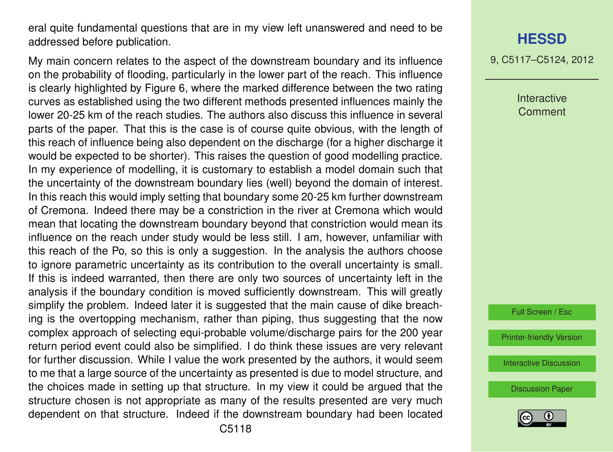eral quite fundamental questions that are in my view left unanswered and need to be addressed before publication.

My main concern relates to the aspect of the downstream boundary and its influence on the probability of flooding, particularly in the lower part of the reach. This influence is clearly highlighted by Figure 6, where the marked difference between the two rating curves as established using the two different methods presented influences mainly the lower 20-25 km of the reach studies. The authors also discuss this influence in several parts of the paper. That this is the case is of course quite obvious, with the length of this reach of influence being also dependent on the discharge (for a higher discharge it would be expected to be shorter). This raises the question of good modelling practice. In my experience of modelling, it is customary to establish a model domain such that the uncertainty of the downstream boundary lies (well) beyond the domain of interest. In this reach this would imply setting that boundary some 20-25 km further downstream of Cremona. Indeed there may be a constriction in the river at Cremona which would mean that locating the downstream boundary beyond that constriction would mean its influence on the reach under study would be less still. I am, however, unfamiliar with this reach of the Po, so this is only a suggestion. In the analysis the authors choose to ignore parametric uncertainty as its contribution to the overall uncertainty is small. If this is indeed warranted, then there are only two sources of uncertainty left in the analysis if the boundary condition is moved sufficiently downstream. This will greatly simplify the problem. Indeed later it is suggested that the main cause of dike breaching is the overtopping mechanism, rather than piping, thus suggesting that the now complex approach of selecting equi-probable volume/discharge pairs for the 200 year return period event could also be simplified. I do think these issues are very relevant for further discussion. While I value the work presented by the authors, it would seem to me that a large source of the uncertainty as presented is due to model structure, and the choices made in setting up that structure. In my view it could be argued that the structure chosen is not appropriate as many of the results presented are very much dependent on that structure. Indeed if the downstream boundary had been located

## **[HESSD](http://www.hydrol-earth-syst-sci-discuss.net)**

9, C5117–C5124, 2012

Interactive **Comment** 

Full Screen / Esc

[Printer-friendly Version](http://www.hydrol-earth-syst-sci-discuss.net/9/C5117/2012/hessd-9-C5117-2012-print.pdf)

[Interactive Discussion](http://www.hydrol-earth-syst-sci-discuss.net/9/9809/2012/hessd-9-9809-2012-discussion.html)

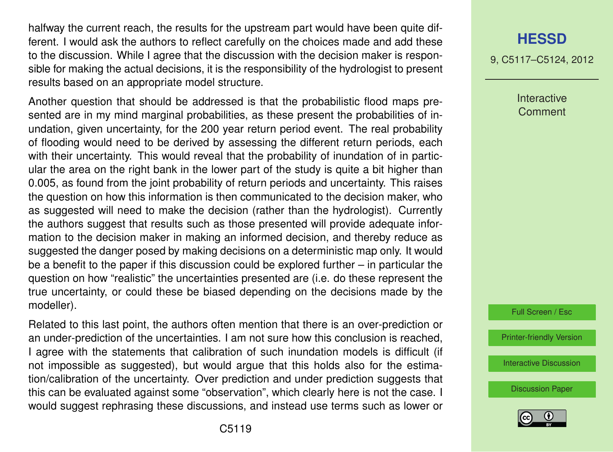halfway the current reach, the results for the upstream part would have been quite different. I would ask the authors to reflect carefully on the choices made and add these to the discussion. While I agree that the discussion with the decision maker is responsible for making the actual decisions, it is the responsibility of the hydrologist to present results based on an appropriate model structure.

Another question that should be addressed is that the probabilistic flood maps presented are in my mind marginal probabilities, as these present the probabilities of inundation, given uncertainty, for the 200 year return period event. The real probability of flooding would need to be derived by assessing the different return periods, each with their uncertainty. This would reveal that the probability of inundation of in particular the area on the right bank in the lower part of the study is quite a bit higher than 0.005, as found from the joint probability of return periods and uncertainty. This raises the question on how this information is then communicated to the decision maker, who as suggested will need to make the decision (rather than the hydrologist). Currently the authors suggest that results such as those presented will provide adequate information to the decision maker in making an informed decision, and thereby reduce as suggested the danger posed by making decisions on a deterministic map only. It would be a benefit to the paper if this discussion could be explored further – in particular the question on how "realistic" the uncertainties presented are (i.e. do these represent the true uncertainty, or could these be biased depending on the decisions made by the modeller).

Related to this last point, the authors often mention that there is an over-prediction or an under-prediction of the uncertainties. I am not sure how this conclusion is reached, I agree with the statements that calibration of such inundation models is difficult (if not impossible as suggested), but would argue that this holds also for the estimation/calibration of the uncertainty. Over prediction and under prediction suggests that this can be evaluated against some "observation", which clearly here is not the case. I would suggest rephrasing these discussions, and instead use terms such as lower or

9, C5117–C5124, 2012

Interactive **Comment** 



[Printer-friendly Version](http://www.hydrol-earth-syst-sci-discuss.net/9/C5117/2012/hessd-9-C5117-2012-print.pdf)

[Interactive Discussion](http://www.hydrol-earth-syst-sci-discuss.net/9/9809/2012/hessd-9-9809-2012-discussion.html)

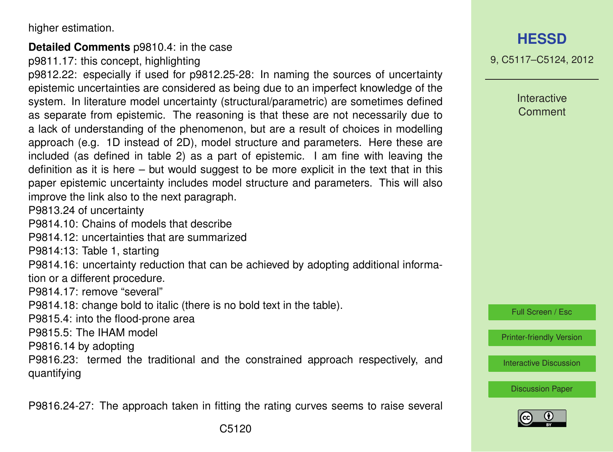higher estimation.

#### **Detailed Comments** p9810.4: in the case

p9811.17: this concept, highlighting

p9812.22: especially if used for p9812.25-28: In naming the sources of uncertainty epistemic uncertainties are considered as being due to an imperfect knowledge of the system. In literature model uncertainty (structural/parametric) are sometimes defined as separate from epistemic. The reasoning is that these are not necessarily due to a lack of understanding of the phenomenon, but are a result of choices in modelling approach (e.g. 1D instead of 2D), model structure and parameters. Here these are included (as defined in table 2) as a part of epistemic. I am fine with leaving the definition as it is here – but would suggest to be more explicit in the text that in this paper epistemic uncertainty includes model structure and parameters. This will also improve the link also to the next paragraph.

P9813.24 of uncertainty

P9814.10: Chains of models that describe

P9814.12: uncertainties that are summarized

P9814:13: Table 1, starting

P9814.16: uncertainty reduction that can be achieved by adopting additional information or a different procedure.

P9814.17: remove "several"

P9814.18: change bold to italic (there is no bold text in the table).

P9815.4: into the flood-prone area

P9815.5: The IHAM model

P9816.14 by adopting

P9816.23: termed the traditional and the constrained approach respectively, and quantifying

P9816.24-27: The approach taken in fitting the rating curves seems to raise several

# **[HESSD](http://www.hydrol-earth-syst-sci-discuss.net)**

9, C5117–C5124, 2012

**Interactive Comment** 

Full Screen / Esc

[Printer-friendly Version](http://www.hydrol-earth-syst-sci-discuss.net/9/C5117/2012/hessd-9-C5117-2012-print.pdf)

[Interactive Discussion](http://www.hydrol-earth-syst-sci-discuss.net/9/9809/2012/hessd-9-9809-2012-discussion.html)

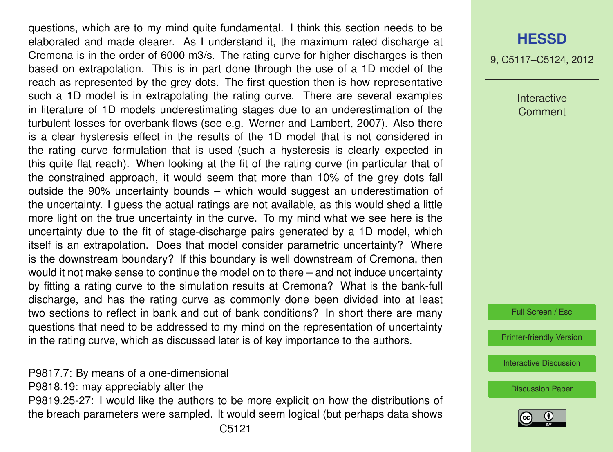questions, which are to my mind quite fundamental. I think this section needs to be elaborated and made clearer. As I understand it, the maximum rated discharge at Cremona is in the order of 6000 m3/s. The rating curve for higher discharges is then based on extrapolation. This is in part done through the use of a 1D model of the reach as represented by the grey dots. The first question then is how representative such a 1D model is in extrapolating the rating curve. There are several examples in literature of 1D models underestimating stages due to an underestimation of the turbulent losses for overbank flows (see e.g. Werner and Lambert, 2007). Also there is a clear hysteresis effect in the results of the 1D model that is not considered in the rating curve formulation that is used (such a hysteresis is clearly expected in this quite flat reach). When looking at the fit of the rating curve (in particular that of the constrained approach, it would seem that more than 10% of the grey dots fall outside the 90% uncertainty bounds – which would suggest an underestimation of the uncertainty. I guess the actual ratings are not available, as this would shed a little more light on the true uncertainty in the curve. To my mind what we see here is the uncertainty due to the fit of stage-discharge pairs generated by a 1D model, which itself is an extrapolation. Does that model consider parametric uncertainty? Where is the downstream boundary? If this boundary is well downstream of Cremona, then would it not make sense to continue the model on to there – and not induce uncertainty by fitting a rating curve to the simulation results at Cremona? What is the bank-full discharge, and has the rating curve as commonly done been divided into at least two sections to reflect in bank and out of bank conditions? In short there are many questions that need to be addressed to my mind on the representation of uncertainty in the rating curve, which as discussed later is of key importance to the authors.

P9817.7: By means of a one-dimensional P9818.19: may appreciably alter the P9819.25-27: I would like the authors to be more explicit on how the distributions of the breach parameters were sampled. It would seem logical (but perhaps data shows

# **[HESSD](http://www.hydrol-earth-syst-sci-discuss.net)**

9, C5117–C5124, 2012

Interactive **Comment** 

Full Screen / Esc

[Printer-friendly Version](http://www.hydrol-earth-syst-sci-discuss.net/9/C5117/2012/hessd-9-C5117-2012-print.pdf)

[Interactive Discussion](http://www.hydrol-earth-syst-sci-discuss.net/9/9809/2012/hessd-9-9809-2012-discussion.html)

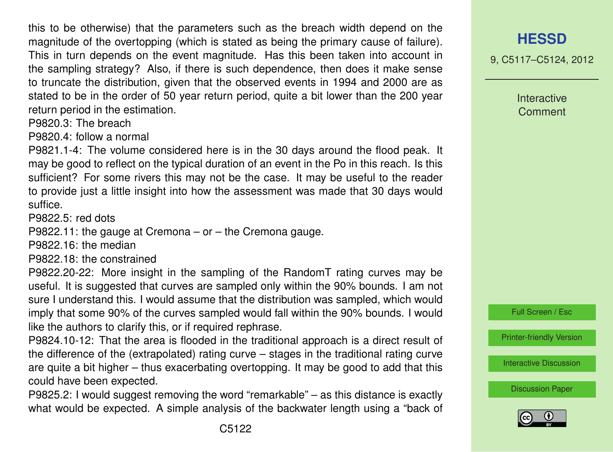this to be otherwise) that the parameters such as the breach width depend on the magnitude of the overtopping (which is stated as being the primary cause of failure). This in turn depends on the event magnitude. Has this been taken into account in the sampling strategy? Also, if there is such dependence, then does it make sense to truncate the distribution, given that the observed events in 1994 and 2000 are as stated to be in the order of 50 year return period, quite a bit lower than the 200 year return period in the estimation.

P9820.3: The breach

P9820.4: follow a normal

P9821.1-4: The volume considered here is in the 30 days around the flood peak. It may be good to reflect on the typical duration of an event in the Po in this reach. Is this sufficient? For some rivers this may not be the case. It may be useful to the reader to provide just a little insight into how the assessment was made that 30 days would suffice.

P9822.5: red dots

P9822.11: the gauge at Cremona – or – the Cremona gauge.

P9822.16: the median

P9822.18: the constrained

P9822.20-22: More insight in the sampling of the RandomT rating curves may be useful. It is suggested that curves are sampled only within the 90% bounds. I am not sure I understand this. I would assume that the distribution was sampled, which would imply that some 90% of the curves sampled would fall within the 90% bounds. I would like the authors to clarify this, or if required rephrase.

P9824.10-12: That the area is flooded in the traditional approach is a direct result of the difference of the (extrapolated) rating curve – stages in the traditional rating curve are quite a bit higher – thus exacerbating overtopping. It may be good to add that this could have been expected.

P9825.2: I would suggest removing the word "remarkable" – as this distance is exactly what would be expected. A simple analysis of the backwater length using a "back of 9, C5117–C5124, 2012

Interactive **Comment** 



[Printer-friendly Version](http://www.hydrol-earth-syst-sci-discuss.net/9/C5117/2012/hessd-9-C5117-2012-print.pdf)

[Interactive Discussion](http://www.hydrol-earth-syst-sci-discuss.net/9/9809/2012/hessd-9-9809-2012-discussion.html)

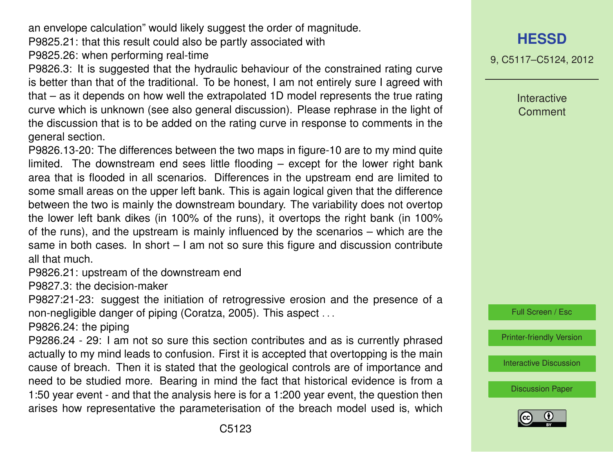an envelope calculation" would likely suggest the order of magnitude.

P9825.21: that this result could also be partly associated with

P9825.26: when performing real-time

P9826.3: It is suggested that the hydraulic behaviour of the constrained rating curve is better than that of the traditional. To be honest, I am not entirely sure I agreed with that – as it depends on how well the extrapolated 1D model represents the true rating curve which is unknown (see also general discussion). Please rephrase in the light of the discussion that is to be added on the rating curve in response to comments in the general section.

P9826.13-20: The differences between the two maps in figure-10 are to my mind quite limited. The downstream end sees little flooding – except for the lower right bank area that is flooded in all scenarios. Differences in the upstream end are limited to some small areas on the upper left bank. This is again logical given that the difference between the two is mainly the downstream boundary. The variability does not overtop the lower left bank dikes (in 100% of the runs), it overtops the right bank (in 100% of the runs), and the upstream is mainly influenced by the scenarios – which are the same in both cases. In short – I am not so sure this figure and discussion contribute all that much.

P9826.21: upstream of the downstream end

P9827.3: the decision-maker

P9827:21-23: suggest the initiation of retrogressive erosion and the presence of a non-negligible danger of piping (Coratza, 2005). This aspect . . .

P9826.24: the piping

P9286.24 - 29: I am not so sure this section contributes and as is currently phrased actually to my mind leads to confusion. First it is accepted that overtopping is the main cause of breach. Then it is stated that the geological controls are of importance and need to be studied more. Bearing in mind the fact that historical evidence is from a 1:50 year event - and that the analysis here is for a 1:200 year event, the question then arises how representative the parameterisation of the breach model used is, which 9, C5117–C5124, 2012

Interactive **Comment** 



[Printer-friendly Version](http://www.hydrol-earth-syst-sci-discuss.net/9/C5117/2012/hessd-9-C5117-2012-print.pdf)

[Interactive Discussion](http://www.hydrol-earth-syst-sci-discuss.net/9/9809/2012/hessd-9-9809-2012-discussion.html)